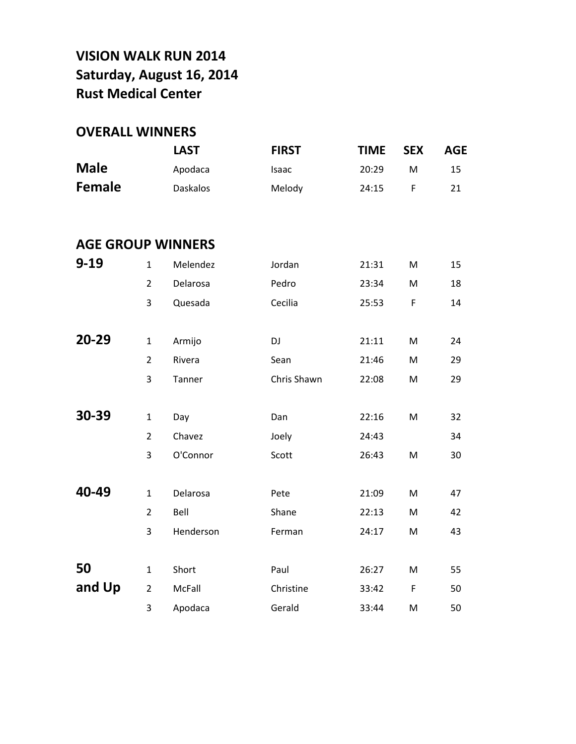## **VISION WALK RUN 2014 Saturday, August 16, 2014 Rust Medical Center**

## **OVERALL WINNERS**

|                          |                | <b>LAST</b>     | <b>FIRST</b> | <b>TIME</b> | <b>SEX</b>  | <b>AGE</b> |
|--------------------------|----------------|-----------------|--------------|-------------|-------------|------------|
| <b>Male</b>              |                | Apodaca         | Isaac        | 20:29       | M           | 15         |
| <b>Female</b>            |                | <b>Daskalos</b> | Melody       | 24:15       | F           | 21         |
|                          |                |                 |              |             |             |            |
| <b>AGE GROUP WINNERS</b> |                |                 |              |             |             |            |
| $9 - 19$                 | $\mathbf{1}$   | Melendez        | Jordan       | 21:31       | M           | 15         |
|                          | $\overline{2}$ | Delarosa        | Pedro        | 23:34       | M           | 18         |
|                          | 3              | Quesada         | Cecilia      | 25:53       | F           | 14         |
|                          |                |                 |              |             |             |            |
| 20-29                    | $\mathbf{1}$   | Armijo          | DJ           | 21:11       | M           | 24         |
|                          | $\overline{2}$ | Rivera          | Sean         | 21:46       | M           | 29         |
|                          | 3              | Tanner          | Chris Shawn  | 22:08       | M           | 29         |
|                          |                |                 |              |             |             |            |
| 30-39                    | $\mathbf{1}$   | Day             | Dan          | 22:16       | M           | 32         |
|                          | $\overline{2}$ | Chavez          | Joely        | 24:43       |             | 34         |
|                          | 3              | O'Connor        | Scott        | 26:43       | M           | 30         |
|                          |                |                 |              |             |             |            |
| 40-49                    | $\mathbf{1}$   | Delarosa        | Pete         | 21:09       | M           | 47         |
|                          | $\overline{2}$ | Bell            | Shane        | 22:13       | M           | 42         |
|                          | 3              | Henderson       | Ferman       | 24:17       | M           | 43         |
|                          |                |                 |              |             |             |            |
| 50                       | $\mathbf{1}$   | Short           | Paul         | 26:27       | M           | 55         |
| and Up                   | $\overline{2}$ | McFall          | Christine    | 33:42       | $\mathsf F$ | 50         |
|                          | 3              | Apodaca         | Gerald       | 33:44       | M           | 50         |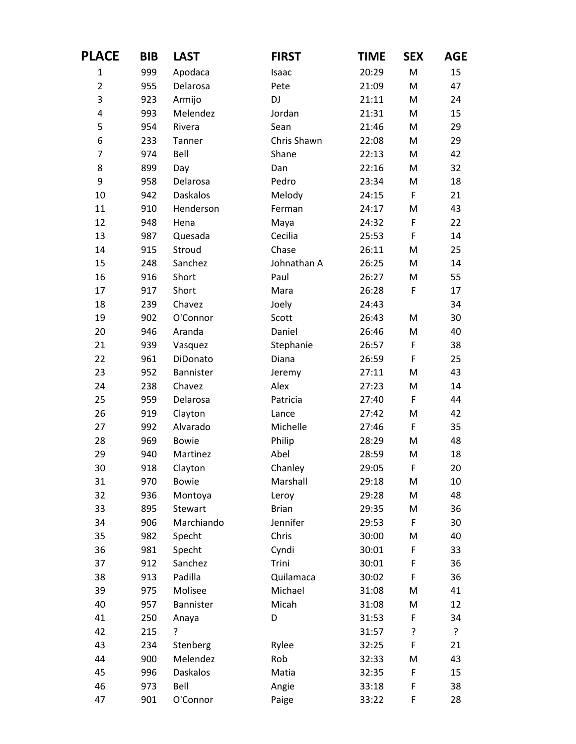| <b>PLACE</b>   | <b>BIB</b> | <b>LAST</b>     | <b>FIRST</b> | TIME  | <b>SEX</b>  | AGE |
|----------------|------------|-----------------|--------------|-------|-------------|-----|
| $\mathbf{1}$   | 999        | Apodaca         | Isaac        | 20:29 | M           | 15  |
| $\overline{2}$ | 955        | Delarosa        | Pete         | 21:09 | M           | 47  |
| 3              | 923        | Armijo          | DJ           | 21:11 | M           | 24  |
| 4              | 993        | Melendez        | Jordan       | 21:31 | M           | 15  |
| 5              | 954        | Rivera          | Sean         | 21:46 | M           | 29  |
| 6              | 233        | Tanner          | Chris Shawn  | 22:08 | M           | 29  |
| $\overline{7}$ | 974        | Bell            | Shane        | 22:13 | M           | 42  |
| 8              | 899        | Day             | Dan          | 22:16 | M           | 32  |
| 9              | 958        | Delarosa        | Pedro        | 23:34 | M           | 18  |
| 10             | 942        | <b>Daskalos</b> | Melody       | 24:15 | $\mathsf F$ | 21  |
| 11             | 910        | Henderson       | Ferman       | 24:17 | M           | 43  |
| 12             | 948        | Hena            | Maya         | 24:32 | F           | 22  |
| 13             | 987        | Quesada         | Cecilia      | 25:53 | F           | 14  |
| 14             | 915        | Stroud          | Chase        | 26:11 | M           | 25  |
| 15             | 248        | Sanchez         | Johnathan A  | 26:25 | M           | 14  |
| 16             | 916        | Short           | Paul         | 26:27 | M           | 55  |
| 17             | 917        | Short           | Mara         | 26:28 | F           | 17  |
| 18             | 239        | Chavez          | Joely        | 24:43 |             | 34  |
| 19             | 902        | O'Connor        | Scott        | 26:43 | M           | 30  |
| 20             | 946        | Aranda          | Daniel       | 26:46 | M           | 40  |
| 21             | 939        | Vasquez         | Stephanie    | 26:57 | F           | 38  |
| 22             | 961        | DiDonato        | Diana        | 26:59 | $\mathsf F$ | 25  |
| 23             | 952        | Bannister       | Jeremy       | 27:11 | M           | 43  |
| 24             | 238        | Chavez          | Alex         | 27:23 | M           | 14  |
| 25             | 959        | Delarosa        | Patricia     | 27:40 | F           | 44  |
| 26             | 919        | Clayton         | Lance        | 27:42 | M           | 42  |
| 27             | 992        | Alvarado        | Michelle     | 27:46 | F           | 35  |
| 28             | 969        | <b>Bowie</b>    | Philip       | 28:29 | M           | 48  |
| 29             | 940        | Martinez        | Abel         | 28:59 | M           | 18  |
| 30             | 918        | Clayton         | Chanley      | 29:05 | F           | 20  |
| 31             | 970        | <b>Bowie</b>    | Marshall     | 29:18 | M           | 10  |
| 32             | 936        | Montoya         | Leroy        | 29:28 | M           | 48  |
| 33             | 895        | Stewart         | <b>Brian</b> | 29:35 | M           | 36  |
| 34             | 906        | Marchiando      | Jennifer     | 29:53 | $\mathsf F$ | 30  |
| 35             | 982        | Specht          | Chris        | 30:00 | M           | 40  |
| 36             | 981        | Specht          | Cyndi        | 30:01 | F           | 33  |
| 37             | 912        | Sanchez         | Trini        | 30:01 | $\mathsf F$ | 36  |
| 38             | 913        | Padilla         | Quilamaca    | 30:02 | F           | 36  |
| 39             | 975        | Molisee         | Michael      | 31:08 | M           | 41  |
| 40             | 957        | Bannister       | Micah        | 31:08 | M           | 12  |
| 41             | 250        | Anaya           | D            | 31:53 | F           | 34  |
| 42             | 215        | ŗ               |              | 31:57 | ŗ           | ?   |
| 43             | 234        | Stenberg        | Rylee        | 32:25 | F           | 21  |
| 44             | 900        | Melendez        | Rob          | 32:33 | M           | 43  |
| 45             | 996        | <b>Daskalos</b> | Matia        | 32:35 | F           | 15  |
| 46             | 973        | Bell            | Angie        | 33:18 | F           | 38  |
| 47             | 901        | O'Connor        | Paige        | 33:22 | $\mathsf F$ | 28  |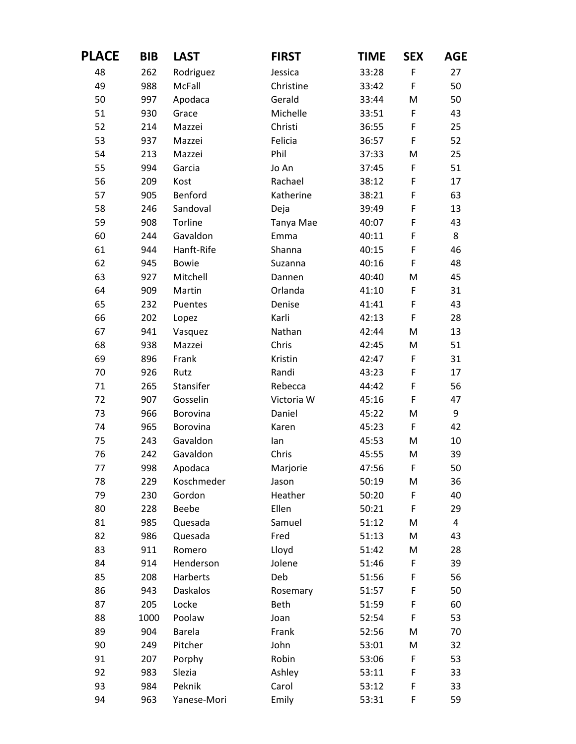| <b>PLACE</b> | <b>BIB</b> | <b>LAST</b>     | <b>FIRST</b> | TIME  | <b>SEX</b>  | AGE                     |
|--------------|------------|-----------------|--------------|-------|-------------|-------------------------|
| 48           | 262        | Rodriguez       | Jessica      | 33:28 | $\mathsf F$ | 27                      |
| 49           | 988        | McFall          | Christine    | 33:42 | $\mathsf F$ | 50                      |
| 50           | 997        | Apodaca         | Gerald       | 33:44 | M           | 50                      |
| 51           | 930        | Grace           | Michelle     | 33:51 | F           | 43                      |
| 52           | 214        | Mazzei          | Christi      | 36:55 | $\mathsf F$ | 25                      |
| 53           | 937        | Mazzei          | Felicia      | 36:57 | F           | 52                      |
| 54           | 213        | Mazzei          | Phil         | 37:33 | M           | 25                      |
| 55           | 994        | Garcia          | Jo An        | 37:45 | $\mathsf F$ | 51                      |
| 56           | 209        | Kost            | Rachael      | 38:12 | $\mathsf F$ | 17                      |
| 57           | 905        | Benford         | Katherine    | 38:21 | $\mathsf F$ | 63                      |
| 58           | 246        | Sandoval        | Deja         | 39:49 | F           | 13                      |
| 59           | 908        | Torline         | Tanya Mae    | 40:07 | F           | 43                      |
| 60           | 244        | Gavaldon        | Emma         | 40:11 | $\mathsf F$ | 8                       |
| 61           | 944        | Hanft-Rife      | Shanna       | 40:15 | F           | 46                      |
| 62           | 945        | <b>Bowie</b>    | Suzanna      | 40:16 | $\mathsf F$ | 48                      |
| 63           | 927        | Mitchell        | Dannen       | 40:40 | M           | 45                      |
| 64           | 909        | Martin          | Orlanda      | 41:10 | F           | 31                      |
| 65           | 232        | Puentes         | Denise       | 41:41 | F           | 43                      |
| 66           | 202        | Lopez           | Karli        | 42:13 | F           | 28                      |
| 67           | 941        | Vasquez         | Nathan       | 42:44 | M           | 13                      |
| 68           | 938        | Mazzei          | Chris        | 42:45 | M           | 51                      |
| 69           | 896        | Frank           | Kristin      | 42:47 | $\mathsf F$ | 31                      |
| 70           | 926        | Rutz            | Randi        | 43:23 | F           | 17                      |
| 71           | 265        | Stansifer       | Rebecca      | 44:42 | $\mathsf F$ | 56                      |
| 72           | 907        | Gosselin        | Victoria W   | 45:16 | F           | 47                      |
| 73           | 966        | Borovina        | Daniel       | 45:22 | M           | 9                       |
| 74           | 965        | Borovina        | Karen        | 45:23 | F           | 42                      |
| 75           | 243        | Gavaldon        | lan          | 45:53 | M           | 10                      |
| 76           | 242        | Gavaldon        | Chris        | 45:55 | M           | 39                      |
| 77           | 998        | Apodaca         | Marjorie     | 47:56 | F           | 50                      |
| 78           | 229        | Koschmeder      | Jason        | 50:19 | M           | 36                      |
| 79           | 230        | Gordon          | Heather      | 50:20 | F           | 40                      |
| 80           | 228        | Beebe           | Ellen        | 50:21 | F           | 29                      |
| 81           | 985        | Quesada         | Samuel       | 51:12 | M           | $\overline{\mathbf{4}}$ |
| 82           | 986        | Quesada         | Fred         | 51:13 | M           | 43                      |
| 83           | 911        | Romero          | Lloyd        | 51:42 | M           | 28                      |
| 84           | 914        | Henderson       | Jolene       | 51:46 | F           | 39                      |
| 85           | 208        | Harberts        | Deb          | 51:56 | F           | 56                      |
| 86           | 943        | <b>Daskalos</b> | Rosemary     | 51:57 | $\mathsf F$ | 50                      |
| 87           | 205        | Locke           | <b>Beth</b>  | 51:59 | $\mathsf F$ | 60                      |
| 88           | 1000       | Poolaw          | Joan         | 52:54 | $\mathsf F$ | 53                      |
| 89           | 904        | <b>Barela</b>   | Frank        | 52:56 | M           | 70                      |
| 90           | 249        | Pitcher         | John         | 53:01 | M           | 32                      |
| 91           | 207        | Porphy          | Robin        | 53:06 | F           | 53                      |
| 92           | 983        | Slezia          | Ashley       | 53:11 | F           | 33                      |
| 93           | 984        | Peknik          | Carol        | 53:12 | $\mathsf F$ | 33                      |
| 94           | 963        | Yanese-Mori     | Emily        | 53:31 | $\mathsf F$ | 59                      |